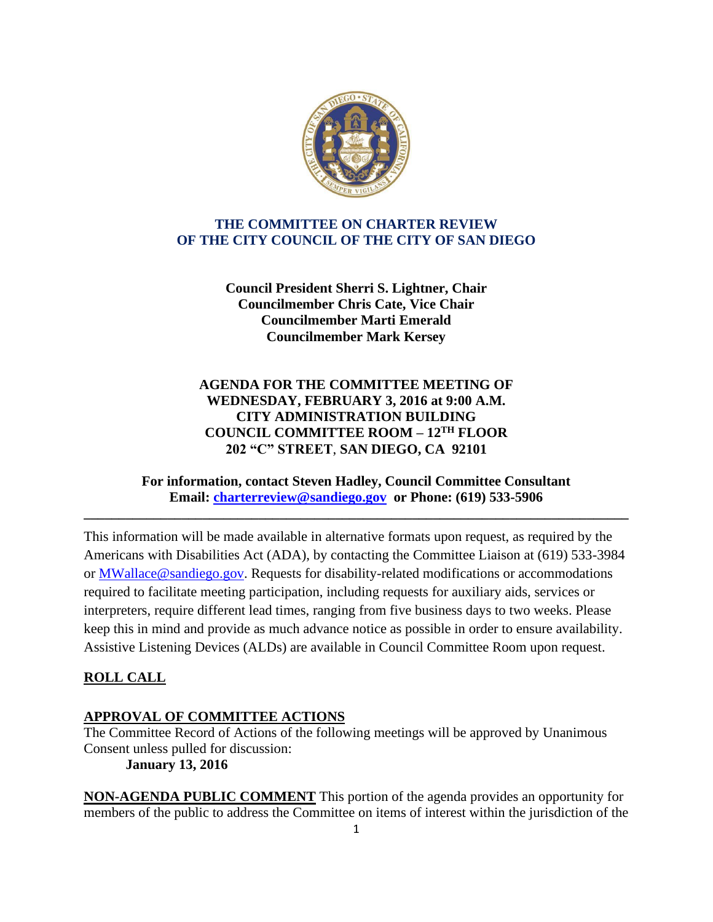

## **THE COMMITTEE ON CHARTER REVIEW OF THE CITY COUNCIL OF THE CITY OF SAN DIEGO**

**Council President Sherri S. Lightner, Chair Councilmember Chris Cate, Vice Chair Councilmember Marti Emerald Councilmember Mark Kersey**

# **AGENDA FOR THE COMMITTEE MEETING OF WEDNESDAY, FEBRUARY 3, 2016 at 9:00 A.M. CITY ADMINISTRATION BUILDING COUNCIL COMMITTEE ROOM – 12TH FLOOR 202 "C" STREET**, **SAN DIEGO, CA 92101**

### **For information, contact Steven Hadley, Council Committee Consultant Email: [charterreview@sandiego.gov](mailto:charterreview@sandiego.gov) or Phone: (619) 533-5906**

**\_\_\_\_\_\_\_\_\_\_\_\_\_\_\_\_\_\_\_\_\_\_\_\_\_\_\_\_\_\_\_\_\_\_\_\_\_\_\_\_\_\_\_\_\_\_\_\_\_\_\_\_\_\_\_\_\_\_\_\_\_\_\_\_\_\_\_\_\_\_\_\_\_\_\_\_\_\_**

This information will be made available in alternative formats upon request, as required by the Americans with Disabilities Act (ADA), by contacting the Committee Liaison at (619) 533-3984 or MWallace@sandiego.gov. Requests for disability-related modifications or accommodations required to facilitate meeting participation, including requests for auxiliary aids, services or interpreters, require different lead times, ranging from five business days to two weeks. Please keep this in mind and provide as much advance notice as possible in order to ensure availability. Assistive Listening Devices (ALDs) are available in Council Committee Room upon request.

### **ROLL CALL**

### **APPROVAL OF COMMITTEE ACTIONS**

The Committee Record of Actions of the following meetings will be approved by Unanimous Consent unless pulled for discussion:

**January 13, 2016**

**NON-AGENDA PUBLIC COMMENT** This portion of the agenda provides an opportunity for members of the public to address the Committee on items of interest within the jurisdiction of the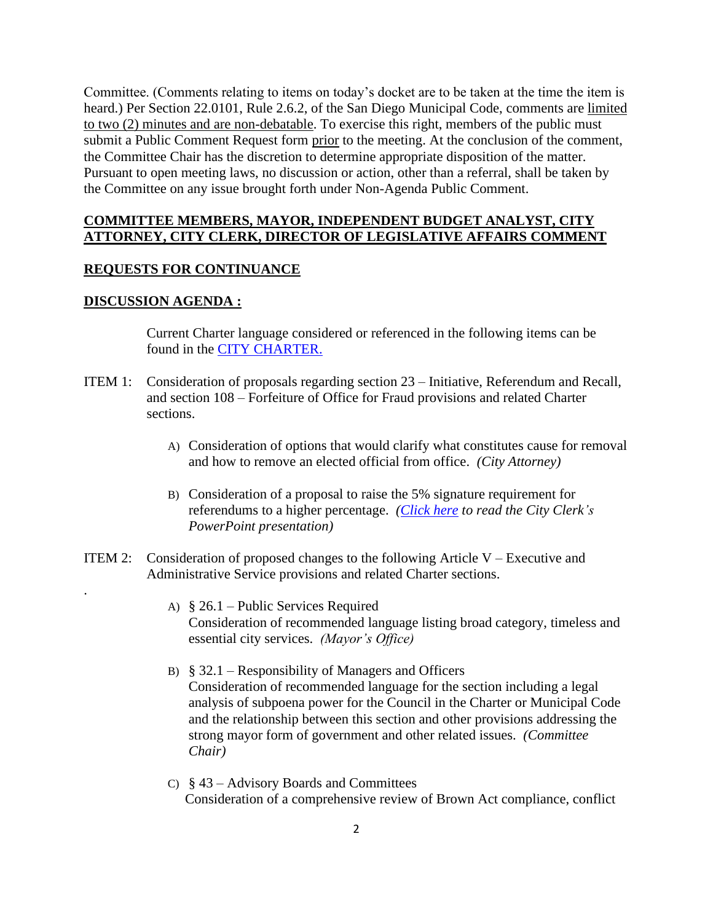Committee. (Comments relating to items on today's docket are to be taken at the time the item is heard.) Per Section 22.0101, Rule 2.6.2, of the San Diego Municipal Code, comments are limited to two (2) minutes and are non-debatable. To exercise this right, members of the public must submit a Public Comment Request form prior to the meeting. At the conclusion of the comment, the Committee Chair has the discretion to determine appropriate disposition of the matter. Pursuant to open meeting laws, no discussion or action, other than a referral, shall be taken by the Committee on any issue brought forth under Non-Agenda Public Comment.

#### **COMMITTEE MEMBERS, MAYOR, INDEPENDENT BUDGET ANALYST, CITY ATTORNEY, CITY CLERK, DIRECTOR OF LEGISLATIVE AFFAIRS COMMENT**

#### **REQUESTS FOR CONTINUANCE**

#### **DISCUSSION AGENDA :**

.

Current Charter language considered or referenced in the following items can be found in the [CITY CHARTER.](http://www.sandiego.gov/city-clerk/officialdocs/legisdocs/charter.shtml)

- ITEM 1: Consideration of proposals regarding section 23 Initiative, Referendum and Recall, and section 108 – Forfeiture of Office for Fraud provisions and related Charter sections.
	- A) Consideration of options that would clarify what constitutes cause for removal and how to remove an elected official from office. *(City Attorney)*
	- B) Consideration of a proposal to raise the 5% signature requirement for referendums to a higher percentage. *[\(Click here](http://docs.sandiego.gov/councilcomm_agendas_attach/2016/cr_160203_1b.pdf) to read the City Clerk's PowerPoint presentation)*
- ITEM 2: Consideration of proposed changes to the following Article  $V -$  Executive and Administrative Service provisions and related Charter sections.
	- A) § 26.1 Public Services Required Consideration of recommended language listing broad category, timeless and essential city services. *(Mayor's Office)*
	- B)  $§$  32.1 Responsibility of Managers and Officers Consideration of recommended language for the section including a legal analysis of subpoena power for the Council in the Charter or Municipal Code and the relationship between this section and other provisions addressing the strong mayor form of government and other related issues. *(Committee Chair)*
	- C) § 43 Advisory Boards and Committees Consideration of a comprehensive review of Brown Act compliance, conflict